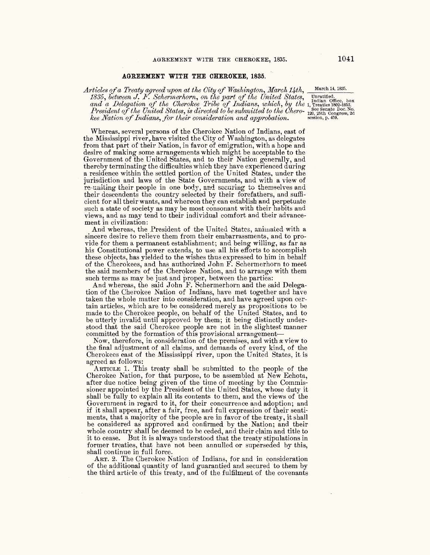## **AGREEMENT WITH THE CHEROKEE, 1835.**

Articles of a Treaty agreed upon at the City of Washington, March 14th, March 14, 1835. 1835, between J. F. Schermerhorn, on the part of the United States, *Unratified.* and a Delegation of the Cherokee Tribe of Indians, which, by the 1, Treaties 1802-1853. and a Delegation of the United States, is directed to be submitted to the Chero-<br>President of the United States, is directed to be submitted to the Chero-<br>session, p. 459.

Whereas, several persons of the Cherokee Nation of Indians, east of the Mississippi river, have visited the City of Washington, as delegates from that part of their Nation, in favor of emigration, with a hope and desire of making some arrangements which might be acceptable to the Government of the United States, and to their Nation generally, and thereby terminating the difficulties which they have experienced during a residence within the settled portion of the United States, under the jurisdiction and laws of the State Governments, and with a view of re-uniting their people in one body, and securing to themselves and their descendents the country selected by their forefathers, and sufficient for all their wants, and whereon they can establish and perpetuate such a state of society as may be most consonant with their habits and views, and as may tend to their individual comfort and their advancement in civilization:

And whereas, the President of the United States, anilnated with a sincere desire to relieve them from their embarrassments, and to provide for them a permanent establishment; and being willing, as far as his Constitutional power extends, to use all his efforts to accomplish these objects, has yielded to the wishes thus expressed to him in behalf of the Cherokees, and has authorized John F. Schermerhorn to meet the said members of the Cherokee Nation, and to arrange with them such terms as may be just and proper, between the parties:

And whereas, the said John F. Schermerhorn and the said Delegation of the Cherokee Nation of Indians, have met together and have taken the whole matter into consideration, and have agreed upon certain articles, which are to be considered merely as propositions to be made to the Cherokee people, on behalf of the United States, and to be utterly invalid until approved by them; it being distinctly understood that the said Cherokee people are not in the slightest manner committed by the formation of this provisional arrangement-

Now, therefore, in consideration of the premises, and with a view to the final adjustment of all claims, and demands of every kind, of the Cherokees east of the Mississippi river, upon the United States, it is agreed as follows:

ARTICLE 1. This treaty shall be submitted to the people of the Cherokee Nation, for that purpose, to be assembled at New Echota, after due notice being given of the time of meeting by the Commissioner appointed by the President of the United States, whose duty it shall be fully to explain all its contents to them, and the views of the Government in regard to it, for their concurrence and adoption; and if it shall appear, after a fair, free, and full expression of their sentiments, that a majority of the people are in favor of the treaty, it shall be considered as approved and confirmed by the Nation; and their whole country shall be deemed to be ceded, and their claim and title to it to cease. But it is always understood that the treaty stipulations in former treaties, that have not been annulled or superseded by this, shall continue in full force.

ART. 2. The Cherokee Nation of Indians, for and in consideration of the additional quantity of land guarantied and secured to them by the third article of this treaty, and of the fulfilment of the covenants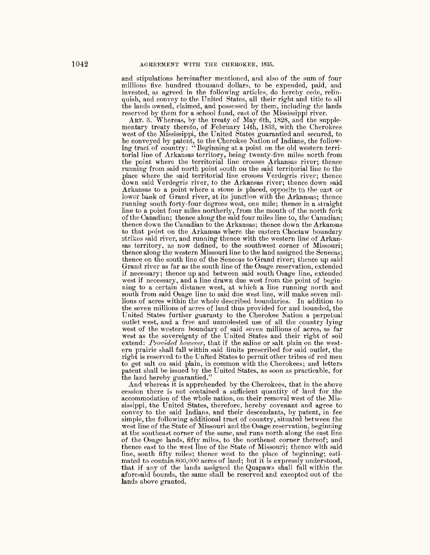and stipulations hereinafter mentioned, and also of the sum of four millions five hundred thousand dollars, to be expended, paid, and invested, as agreed in the following articles, do hereby cede, relinquish, and convey to the United States, all their right and title to all the lands owned, claimed, and possessed by them, including the lands reserved by them for a school fund, east of the Mississippi river.

ART. 3. Whereas, by the treaty of May 6th, 1828, and the supplementary treaty thereto, of February 14th, 1833, with the Cherokees west of the Mississippi, the United States guarantied and secured, to be conveyed by patent, to the Cherokee Nation of Indians, the following tract of country: "Beginning at a point on the old western territorial line of Arkansas territory, being twenty-five miles north from the point where the territorial line crosses Arkansas river; thence running from said north point south on the said territorial line to the place where the said territorial line crosses Verdegris river; thence down said Verdegris river, to the Arkansas river; thence down said Arkansas to a point where a stone is placed, opposite to the east or lower bank of Grand river, at its junction with the Arkansas; thence running south forty-four degrees west, one mile; thence in a straight line to a point four miles northerly, from the mouth of the north fork of the Canadian; thence along the said four miles line to, the Canadian; thence down the Canadian to the Arkansas; thence down the Arkansas to that point on the Arkansas where the eastern Choctaw boundary strikes said river, and running thence with the western line of Arkansas territory, as now defined, to the southwest corner of Missouri; thence along the western Missouri line to the land assigned the Senecas; thence on the south line of the Senecas to Grand river; thence up said Grand river as far as the south line of the Osage reservation, extended if necessary; thence up and between said south Osage line, extended west if necessary, and a line drawn due west from the point of beginning to a certain distance west, at which a line running north and south from said Osage line to said due west line, will make seven millions of acres within the whole described boundaries. In addition to the seven millions of acres of land thus provided for and bounded, the United States further guaranty to the Cherokee Nation a perpetual outlet west, and a free and unmolested use of all the country lying west of the western boundary of said seven millions of acres, as far west as the sovereignty of the United States and their right of soil extend: *Provided however*, that if the saline or salt plain on the western prairie shall fall within said limits prescribed for said outlet, the right is reserved to the United States to permit other tribes of red men to get salt on said plain, in common with the Cherokees; and letters patent shall be issued by the United States, as soon as practicable, for the land hereby guarantied."

And whereas it is apprehended by the Cherokees, that in the above cession there is not contained a sufficient quantity of land for the accommodation of the whole nation, on their removal west of the Mississippi, the United States, therefore, hereby covenant and agree to convey to the said Indians, and their descendants, by patent, in fee simple, the following additional tract of country, situated between the west line of the State of Missouri and the Osage reservation, beginning at the southeast corner of the same, and runs north along the east line of the Osage lands, fifty miles, to the northeast corner thereof; and thence east to the west line of the State of Missouri; thence with said line, south fifty miles; thence west to the place of beginning; estimated to contain 800,000 acres of land; but it is expressly understood, that if any of the lands assigned the Quapaws shall fall within the aforesaid bounds, the same shall be reserved and excepted out of the lands above granted.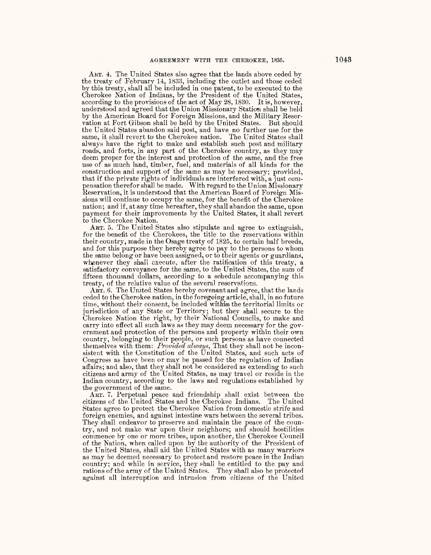ART. 4. The United States also agree that the lands above ceded by the treaty of February 14, 1833, including the outlet and those ceded by this treaty, shall all be included in one patent, to be executed to the Cherokee Nation of Indians, by the President of the United States, according to the provisions of the act of May 28, 1830. It is, however, understood and agreed that the Union Missionary Station shall be held by the American Board -for Foreign Missions, and the Military Reservation at Fort Gibson shall be held by the United States. But should the United States abandon said post, and have no further use for the same, it shall revert to the Cherokee nation. The United States shall always have the right to make and establish such post and military roads, and forts, in any part of the Cherokee country, as they may deem proper for the interest and. protection of the same, and the free use of as much land, timber, fuel, and materials of all kinds for the construction and support of the same as may be necessary; provided, that if the private rights of individuals are interfered with, a Just compensation therefor shall be made. With regard to the Union Missionary Reservation, it is understood that the American Board of Foreign Missions will continue to occupy the same, for the benefit of the Cherokee nation; and if, at any time hereafter, they shall abandon the same, upon pavment for their improvements by the United States, it shall revert to the Cherokee Nation.

ART. 5. The United States also stipulate and agree to extinguish, for the benefit of the Cherokees, the title to the reservations within their country, made in the Osage treaty of 1825, to certain half breeds, and for this purpose they hereby agree to pay to the persons to whom the same belong or have been assigned, or to their agents or guardians, whenever they shall execute, after the ratification of this treaty, a satisfactory conveyance for the same, to the United States, the sum of fifteen thousand dollars, according to a schedule accompanying this treaty, of the relative value of the several reservations.

ART. 6. The United States hereby covenant and agree, that the lands ceded to the Cherokee nation, in the foregoing article, shall, in no future time, without their consent, be included within the territorial limits or jurisdiction of any State or Territory; but they shall secure to the Cherokee Nation the right, by their National Councils, to make and carry into effect all such laws as they may deem necessary for the government and protection of the persons and property within their own country, belonging to their people, or such persons as have connected themselves with them: *Provided always,* That they shall not he inconsistent with the Constitution of the United States, and such acts of Congress as have been or may be passed for the regulation of Indian affairs; and also, that they shall not be considered as extending to such citizens and army of the United States, as may travel or reside in the Indian country, according to the laws and regulations established by the government of the same.

ART. 7. Perpetual peace and friendship shall exist between the citizens of the United States and the Cherokee Indians. The United States agree to protect the Cherokee Nation from domestic strife and foreign enemies, and against intestine wars between the several tribes. They shall endeavor to preserve and maintain the peace of the country, and not make war upon their neighbors; and should hostilities commence by one or more tribes, upon another, the Cherokee Council of the Nation, when called upon by the authority of the President of the United States, shall aid the United States with as many warriors as may be deemed necessary to protect and restore peace in the Indian country; and while in service, they shall be entitled to the pay and rations of the army of the United States. They shall also be protected against all interruption and intrusion from citizens of the United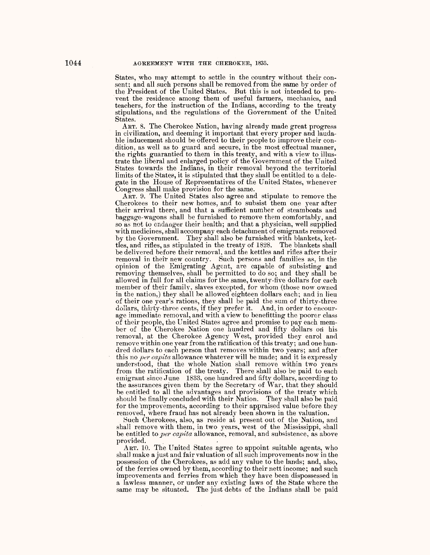States, who may attempt to settle in the country without their consent; and all such persons shall be removed from the same by order of the President of the United States. But this is not intended to prevent the residence among them of useful farmers, mechanics, and teachers, for the instruction of the Indians, according to the treaty stipulations, and the regulations of the Government of the United States.

ART. 8. The Cherokee Nation, having already made great progress in civilization, and deeming it important that every proper and laudable inducement should be offered to their people to improve their condition, as well as to guard and secure, in the most effectual manner, the rights guarantied to them in this treaty, and with a view to illustrate the liberal and enlarged policy of the Government of the United States towards the Indians, in their removal beyond the territorial limits of the States, it is stipulated that they shall be entitled to a delegate in the House of Representatives of the United States, whenever Congress shall make provision for the same.

ART. 9. The United States also agree and stipulate to remove the Cherokees to their new homes, and to subsist them one year after their arrival there, and that a sufficient number of steamboats and baggage-wagons shall be furnished to remove them comfortably, and so as not to endanger their health; and that a physician, well supplied with medicines, shall accompany each detachment of emigrants removed by the Government. They shall also be furnished with blankets, kettles, and rifles, as stipulated in the treaty of 1828. The blankets shall be delivered before their removal, and the kettles and rifles after their removal in their new country. Such persons and families as, in the opinion of the Emigrating Agent, are capable of subsisting and removing themselves, shall be permitted to do so; and they shall be allowed in full for all claims for the same, twenty-five dollars for each member of their familv, slaves excepted, for whom (those now owned in the nation,) they shall be allowed eighteen dollars each; and in lieu of their one year's rations, they shall be paid the sum of thirty-three dollars, thirty-three cents, if they prefer it. And, in order to encourage immediate removal, and with a view to benefitting the poorer class of their people, the United States agree and promise to pay each member of the Cherokee Nation one hundred and fifty dollars on his removal, at the Cherokee Agency West, provided they enrol and remove within one year from the ratification of this treaty; and one hundred dollars to each person that removes within two years; and after this no *per capita* allowance whatever will be made; and it is expressly understood, that the whole Nation shall remove within two years from the ratification of the treaty. There shall also be paid to each emigrant since June 1833, one hundred and fifty dollars, accerding to the assurances given them by the Secretary of War, that they should be entitled to all the advantages and provisions of the treaty which should be finally concluded with their Nation. They shall also be paid for the improvements, according to their appraised value before they removed, where fraud has not already been shown in the valuation.

Such Cherokees, also, as reside at present out of the Nation, and shall remove with them, in two years, west of the Mississippi, shall be entitled to *per capita* allowance, removal, and subsistence, as above provided.

ART. 10. The United States agree to appoint suitable agents, who shall make a just and fair valuation of all such improvements now in the possession of the Cherokees, as add any value to the lands; and, also, of the ferries owned by them, according to their nett income; and such improvements and ferries from which they have been dispossessed in a lawless manner, or under any existing laws of the State where the same may be situated. The just debts of the Indians shall be paid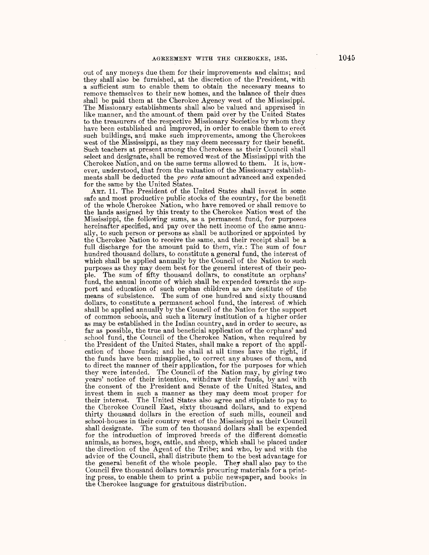out of any moneys due them for their improvements and claims; and they shall also be furnished, at the discretion of the President, with a sufficient sum to enable them to obtain the necessary means to remove themselves to their new homes, and the balance of their dues shall be paid them at the Cherokee Agency west of the Mississippi. The Missionary establishments shall also be valued and appraised in like manner, and the amount.of them paid over by the United States to the treasurers of the respective Missionary Societies by whom they have been established and improved, in order to enable them to erect such buildings, and make such improvements, among the Cherokees west of the Mississippi, as they may deem necessary for their benefit. Such teachers at present among the Cherokees as their Council shall select and designate, shall be removed west of the Mississippi with the Cherokee Nation, and on the same terms allowed to them. It is, however, understood, that from the valuation of the Missionary establishments shall be deducted the *pro rata* amount advanced and expended for the same by the United States.

ART. 11. The President of the United States shall invest in some safe and most productive public stocks of the country, for the benefit of the whole Cherokee Nation, who have removed or shall remove to the lands assigned by this treaty to the Cherokee Nation west of the Mississippi, the following sums, as a permanent fund, for purposes hereinafter specified, and pay over the nett income of the same annually, to such person or persons as shall be authorized or appointed by the Cherokee Nation to receive the same, and their receipt shall be a full discharge for the amount paid to them, viz.: The sum of four hundred thousand dollars, to constitute a general fund, the interest of which shall be applied annually by the Council of the Nation to such purposes as they may deem best for the general interest of their people. The sum of fifty thousand dollars, to constitute an orphans' fund, the annual income of which shall be expended towards the support and education of such orphan children as are destitute of the means of subsistence. The sum of one hundred and sixty thousand dollars, to constitute a permanent school fund, the interest of .which shall be applied annually by the Council of the Nation for the support of common schools, and such a literary institution of a higher order as may be established in the Indian country, and in order to secure, as far as possible, the true and beneficial application of the orphans' and school fund, the Council of the Cherokee Nation, when required by the President of the United States, shall make a report of the application of those funds; and he shall at all times have the right, if the funds have been misapplied, to correct any abuses of them, and to direct the manner of their application, for the purposes for which they were intended. The Council.of the Nation may, by giving two years' notice of their intention, withdraw their funds, by and with the consent of the President and Senate of the United States, and invest them in such a manner as they may deem most proper for their interest. The United States also agree and stipulate to pay to the Cherokee Council East, sixty thousand dollars, and to expend thirty thousand dollars in the erection of such mills, council and school-houses in their country west of the Mississippi as their Council shall designate. The sum of ten thousand dollars shall be expended for the introduction of improved breeds of the different domestic animals, as horses, hogs, cattle, and sheep, which shall be placed under the direction of the Agent of the Tribe; and who, by and with the advice of the Council, shall distribute them to the best advantage for the general benefit of the whole people. They shall also pay to the Council five thousand dollars towards procuring materials for a printing press, to enable them to print a public newspaper, and books in the Cherokee language for gratuitous distribution.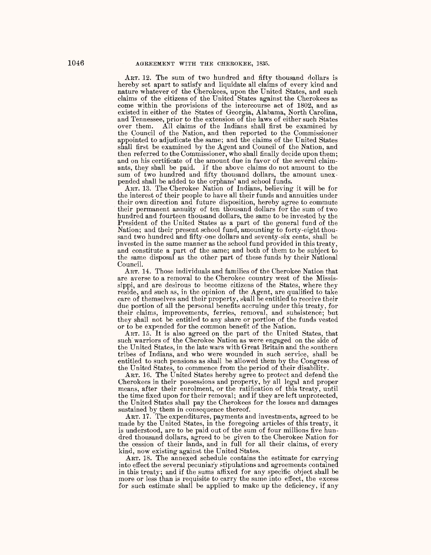ART. 12. The sum of two hundred and fifty thousand dollars is hereby set apart to satisfy and liquidate all claims of every kind and nature whatever of the Cherokees, upon the United States, and such claims of the citizens of the United States against the Cherokees as come within the provisions of the intercourse act of 1802, and as existed in either of the States of Georgia, Alabama, North Carolina, and Tennessee, prior to the extension of the laws of either such States over them. All claims of the Indians shall first be examined by the Council of the Nation, and then reported to the Commissioner appointed to adjudicate the same; and the claims of the United States shall first be examined by the Agent and Council of the Nation, and then referred to the Commissioner, who shall finally decide upon them; and on his certificate of the amount due in favor of the several claimants, they shall be paid. If the above claims do not amount to the sum of two hundred and fifty thousand dollars, the amount unexpended shall be added to the orphans' and school funds.

ART. 13. The Cherokee Nation of Indians, believing it will be for the interest of their people to have all their funds and annuities under<br>their own direction and future disposition, hereby agree to commute their permanent annuity of ten thousand dollars for the sum of two hundred and fourteen thousand dollars, the same to be invested by the President of the United States as a part of the general fund of the Nation; and their present school fund, amounting to forty-eight thousand two hundred and fifty-one dollars and seventy-six cents, shall be invested in the same manner as the school fund provided in this treaty, and constitute a part of the same; and both of them to be subject to the same disposal as the other part of these funds by their National Council.

ART. 14. Those individuals and families of the Cherokee Nation that are averse to a removal to the Cherokee country west of the Mississippi, and are desirous to become citizens *of* the States, where they reside, and such as, in the opinion of the Agent, are qualified to take care of themselves and their property, shall be entitled to receive their due portion of all the personal benefits accruing under this treaty, for their claims, improvements, ferries, removal, and subsistence; but they shall not be entitled to any share or portion of. the funds vested or to be expended for the common benefit of the Nation.

ART. 15. It is also agreed on the part of the United States, that such warriors of the Cherokee Nation as were engaged on the side of the United States, in the late wars with Great Britain and the southern tribes of Indians, and who were wounded in such service, shall be entitled to such pensions as shall be allowed them by the Congress of the United States, to commence from the period of their disabilitv.

ART. 16. The United States hereby agree to protect and defend the Cherokees in their possessions and property, by all legal and proper means, after their enrolment, or the ratification of this treaty, until the time fixed upon for their removal; and if they are left unprotected, the United States shall pay the Cherokees for the losses and damages sustained by them in consequence thereof.

ART. 17. The expenditures, payments and investments, agreed to be made by the United States, in the foregoing articles of this treaty, it is understood, are to be paid out of. the sum of four millions five hundred thousand dollars, agreed to be given to the Cherokee Nation for the cession of their iands, and in full for all their claims, of every kind, now existing against the United States.

ART. 18. The annexed schedule contains the estimate for carrying into effect the several pecuniary stipulations and agreements contained in this treaty; and if the sums affixed for any specific object shall be more or less than is requisite to carry the same into effect, the excess for such estimate shall be applied to make up the deficiency, if any